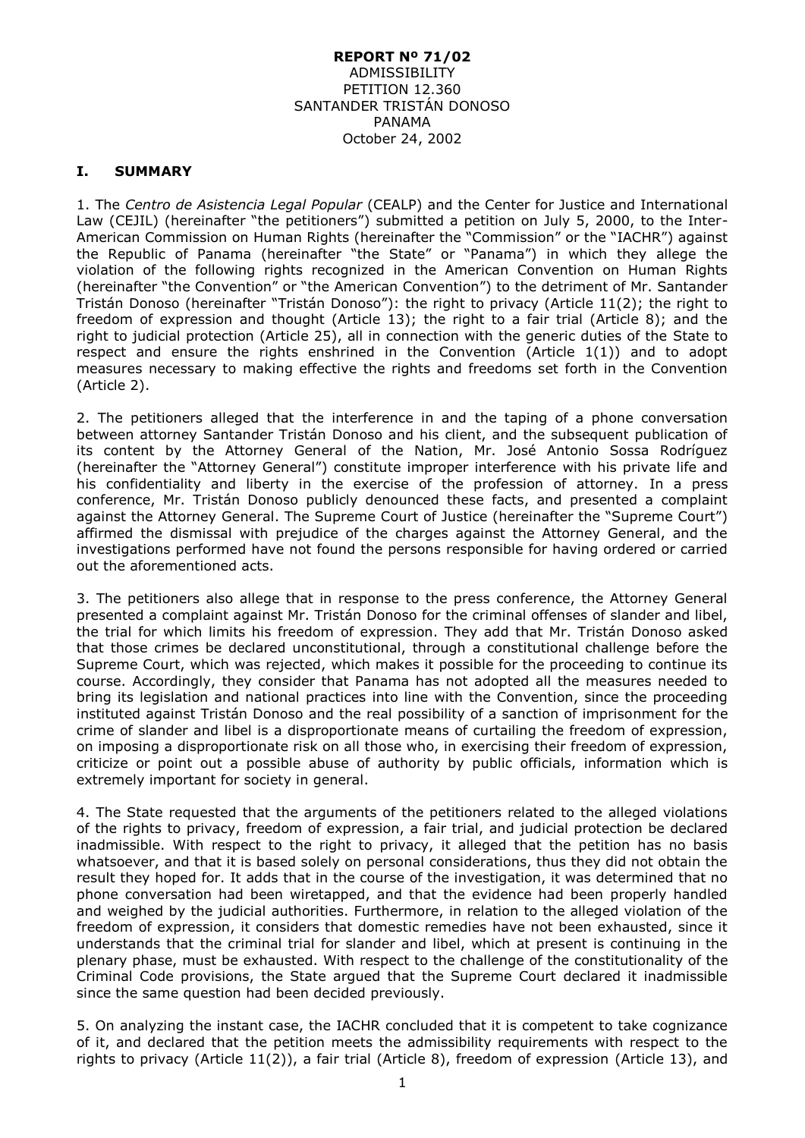#### **REPORT Nº 71/02** ADMISSIBILITY PETITION 12.360 SANTANDER TRISTÁN DONOSO PANAMA October 24, 2002

### **I. SUMMARY**

1. The *Centro de Asistencia Legal Popular* (CEALP) and the Center for Justice and International Law (CEJIL) (hereinafter "the petitioners") submitted a petition on July 5, 2000, to the Inter-American Commission on Human Rights (hereinafter the "Commission" or the "IACHR") against the Republic of Panama (hereinafter "the State" or "Panama") in which they allege the violation of the following rights recognized in the American Convention on Human Rights (hereinafter "the Convention" or "the American Convention") to the detriment of Mr. Santander Tristán Donoso (hereinafter "Tristán Donoso"): the right to privacy (Article 11(2); the right to freedom of expression and thought (Article 13); the right to a fair trial (Article 8); and the right to judicial protection (Article 25), all in connection with the generic duties of the State to respect and ensure the rights enshrined in the Convention (Article  $1(1)$ ) and to adopt measures necessary to making effective the rights and freedoms set forth in the Convention (Article 2).

2. The petitioners alleged that the interference in and the taping of a phone conversation between attorney Santander Tristán Donoso and his client, and the subsequent publication of its content by the Attorney General of the Nation, Mr. José Antonio Sossa Rodríguez (hereinafter the "Attorney General") constitute improper interference with his private life and his confidentiality and liberty in the exercise of the profession of attorney. In a press conference, Mr. Tristán Donoso publicly denounced these facts, and presented a complaint against the Attorney General. The Supreme Court of Justice (hereinafter the "Supreme Court") affirmed the dismissal with prejudice of the charges against the Attorney General, and the investigations performed have not found the persons responsible for having ordered or carried out the aforementioned acts.

3. The petitioners also allege that in response to the press conference, the Attorney General presented a complaint against Mr. Tristán Donoso for the criminal offenses of slander and libel, the trial for which limits his freedom of expression. They add that Mr. Tristán Donoso asked that those crimes be declared unconstitutional, through a constitutional challenge before the Supreme Court, which was rejected, which makes it possible for the proceeding to continue its course. Accordingly, they consider that Panama has not adopted all the measures needed to bring its legislation and national practices into line with the Convention, since the proceeding instituted against Tristán Donoso and the real possibility of a sanction of imprisonment for the crime of slander and libel is a disproportionate means of curtailing the freedom of expression, on imposing a disproportionate risk on all those who, in exercising their freedom of expression, criticize or point out a possible abuse of authority by public officials, information which is extremely important for society in general.

4. The State requested that the arguments of the petitioners related to the alleged violations of the rights to privacy, freedom of expression, a fair trial, and judicial protection be declared inadmissible. With respect to the right to privacy, it alleged that the petition has no basis whatsoever, and that it is based solely on personal considerations, thus they did not obtain the result they hoped for. It adds that in the course of the investigation, it was determined that no phone conversation had been wiretapped, and that the evidence had been properly handled and weighed by the judicial authorities. Furthermore, in relation to the alleged violation of the freedom of expression, it considers that domestic remedies have not been exhausted, since it understands that the criminal trial for slander and libel, which at present is continuing in the plenary phase, must be exhausted. With respect to the challenge of the constitutionality of the Criminal Code provisions, the State argued that the Supreme Court declared it inadmissible since the same question had been decided previously.

5. On analyzing the instant case, the IACHR concluded that it is competent to take cognizance of it, and declared that the petition meets the admissibility requirements with respect to the rights to privacy (Article 11(2)), a fair trial (Article 8), freedom of expression (Article 13), and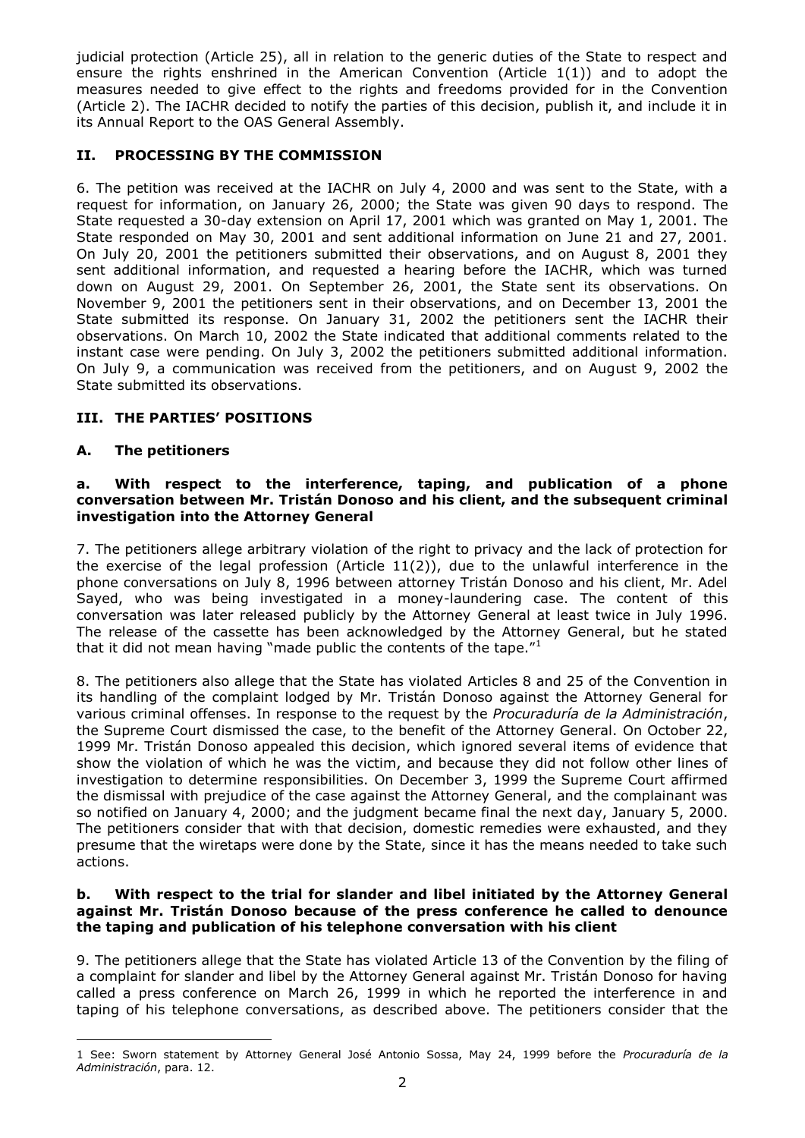judicial protection (Article 25), all in relation to the generic duties of the State to respect and ensure the rights enshrined in the American Convention (Article  $1(1)$ ) and to adopt the measures needed to give effect to the rights and freedoms provided for in the Convention (Article 2). The IACHR decided to notify the parties of this decision, publish it, and include it in its Annual Report to the OAS General Assembly.

# **II. PROCESSING BY THE COMMISSION**

6. The petition was received at the IACHR on July 4, 2000 and was sent to the State, with a request for information, on January 26, 2000; the State was given 90 days to respond. The State requested a 30-day extension on April 17, 2001 which was granted on May 1, 2001. The State responded on May 30, 2001 and sent additional information on June 21 and 27, 2001. On July 20, 2001 the petitioners submitted their observations, and on August 8, 2001 they sent additional information, and requested a hearing before the IACHR, which was turned down on August 29, 2001. On September 26, 2001, the State sent its observations. On November 9, 2001 the petitioners sent in their observations, and on December 13, 2001 the State submitted its response. On January 31, 2002 the petitioners sent the IACHR their observations. On March 10, 2002 the State indicated that additional comments related to the instant case were pending. On July 3, 2002 the petitioners submitted additional information. On July 9, a communication was received from the petitioners, and on August 9, 2002 the State submitted its observations.

# **III. THE PARTIES' POSITIONS**

## **A. The petitioners**

1

### **a. With respect to the interference, taping, and publication of a phone conversation between Mr. Tristán Donoso and his client, and the subsequent criminal investigation into the Attorney General**

7. The petitioners allege arbitrary violation of the right to privacy and the lack of protection for the exercise of the legal profession (Article 11(2)), due to the unlawful interference in the phone conversations on July 8, 1996 between attorney Tristán Donoso and his client, Mr. Adel Sayed, who was being investigated in a money-laundering case. The content of this conversation was later released publicly by the Attorney General at least twice in July 1996. The release of the cassette has been acknowledged by the Attorney General, but he stated that it did not mean having "made public the contents of the tape."<sup>1</sup>

8. The petitioners also allege that the State has violated Articles 8 and 25 of the Convention in its handling of the complaint lodged by Mr. Tristán Donoso against the Attorney General for various criminal offenses. In response to the request by the *Procuraduría de la Administración*, the Supreme Court dismissed the case, to the benefit of the Attorney General. On October 22, 1999 Mr. Tristán Donoso appealed this decision, which ignored several items of evidence that show the violation of which he was the victim, and because they did not follow other lines of investigation to determine responsibilities. On December 3, 1999 the Supreme Court affirmed the dismissal with prejudice of the case against the Attorney General, and the complainant was so notified on January 4, 2000; and the judgment became final the next day, January 5, 2000. The petitioners consider that with that decision, domestic remedies were exhausted, and they presume that the wiretaps were done by the State, since it has the means needed to take such actions.

### **b. With respect to the trial for slander and libel initiated by the Attorney General against Mr. Tristán Donoso because of the press conference he called to denounce the taping and publication of his telephone conversation with his client**

9. The petitioners allege that the State has violated Article 13 of the Convention by the filing of a complaint for slander and libel by the Attorney General against Mr. Tristán Donoso for having called a press conference on March 26, 1999 in which he reported the interference in and taping of his telephone conversations, as described above. The petitioners consider that the

<sup>1</sup> See: Sworn statement by Attorney General José Antonio Sossa, May 24, 1999 before the *Procuraduría de la Administración*, para. 12.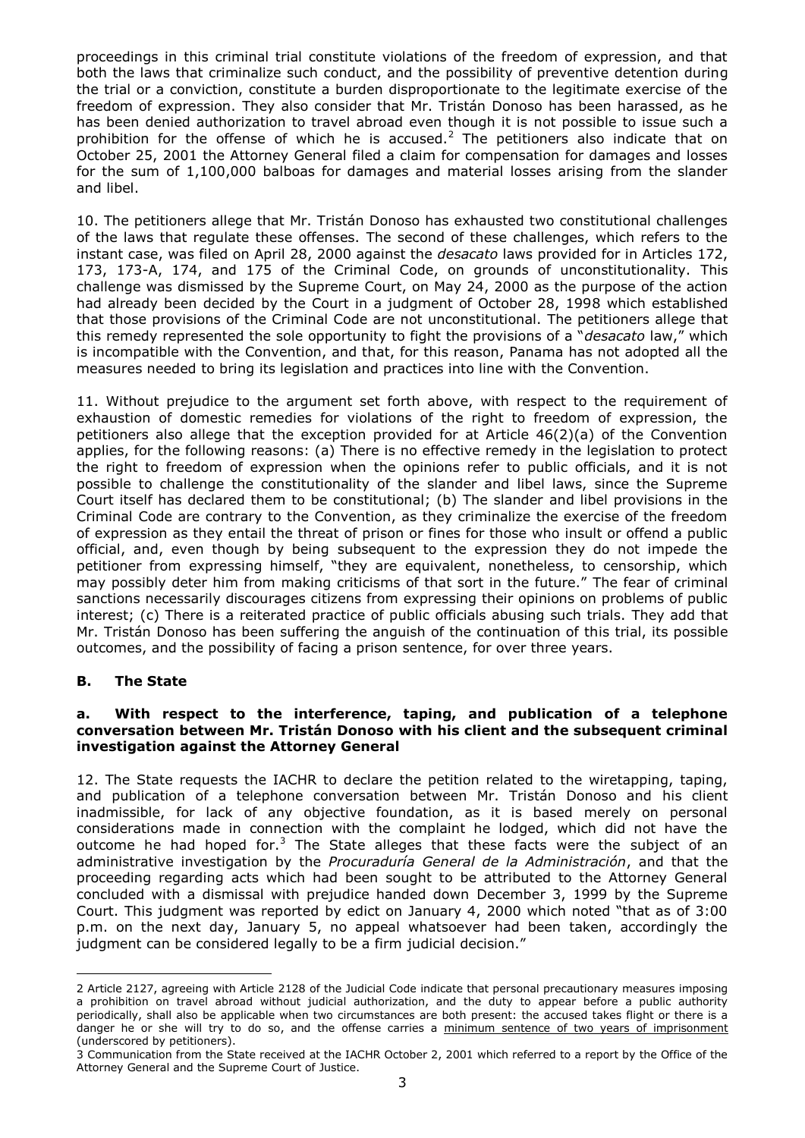proceedings in this criminal trial constitute violations of the freedom of expression, and that both the laws that criminalize such conduct, and the possibility of preventive detention during the trial or a conviction, constitute a burden disproportionate to the legitimate exercise of the freedom of expression. They also consider that Mr. Tristán Donoso has been harassed, as he has been denied authorization to travel abroad even though it is not possible to issue such a prohibition for the offense of which he is accused.<sup>2</sup> The petitioners also indicate that on October 25, 2001 the Attorney General filed a claim for compensation for damages and losses for the sum of 1,100,000 balboas for damages and material losses arising from the slander and libel.

10. The petitioners allege that Mr. Tristán Donoso has exhausted two constitutional challenges of the laws that regulate these offenses. The second of these challenges, which refers to the instant case, was filed on April 28, 2000 against the *desacato* laws provided for in Articles 172, 173, 173-A, 174, and 175 of the Criminal Code, on grounds of unconstitutionality. This challenge was dismissed by the Supreme Court, on May 24, 2000 as the purpose of the action had already been decided by the Court in a judgment of October 28, 1998 which established that those provisions of the Criminal Code are not unconstitutional. The petitioners allege that this remedy represented the sole opportunity to fight the provisions of a "*desacato* law," which is incompatible with the Convention, and that, for this reason, Panama has not adopted all the measures needed to bring its legislation and practices into line with the Convention.

11. Without prejudice to the argument set forth above, with respect to the requirement of exhaustion of domestic remedies for violations of the right to freedom of expression, the petitioners also allege that the exception provided for at Article 46(2)(a) of the Convention applies, for the following reasons: (a) There is no effective remedy in the legislation to protect the right to freedom of expression when the opinions refer to public officials, and it is not possible to challenge the constitutionality of the slander and libel laws, since the Supreme Court itself has declared them to be constitutional; (b) The slander and libel provisions in the Criminal Code are contrary to the Convention, as they criminalize the exercise of the freedom of expression as they entail the threat of prison or fines for those who insult or offend a public official, and, even though by being subsequent to the expression they do not impede the petitioner from expressing himself, "they are equivalent, nonetheless, to censorship, which may possibly deter him from making criticisms of that sort in the future." The fear of criminal sanctions necessarily discourages citizens from expressing their opinions on problems of public interest; (c) There is a reiterated practice of public officials abusing such trials. They add that Mr. Tristán Donoso has been suffering the anguish of the continuation of this trial, its possible outcomes, and the possibility of facing a prison sentence, for over three years.

## **B. The State**

1

### **a. With respect to the interference, taping, and publication of a telephone conversation between Mr. Tristán Donoso with his client and the subsequent criminal investigation against the Attorney General**

12. The State requests the IACHR to declare the petition related to the wiretapping, taping, and publication of a telephone conversation between Mr. Tristán Donoso and his client inadmissible, for lack of any objective foundation, as it is based merely on personal considerations made in connection with the complaint he lodged, which did not have the outcome he had hoped for.<sup>3</sup> The State alleges that these facts were the subject of an administrative investigation by the *Procuraduría General de la Administración*, and that the proceeding regarding acts which had been sought to be attributed to the Attorney General concluded with a dismissal with prejudice handed down December 3, 1999 by the Supreme Court. This judgment was reported by edict on January 4, 2000 which noted "that as of 3:00 p.m. on the next day, January 5, no appeal whatsoever had been taken, accordingly the judgment can be considered legally to be a firm judicial decision."

<sup>2</sup> Article 2127, agreeing with Article 2128 of the Judicial Code indicate that personal precautionary measures imposing a prohibition on travel abroad without judicial authorization, and the duty to appear before a public authority periodically, shall also be applicable when two circumstances are both present: the accused takes flight or there is a danger he or she will try to do so, and the offense carries a minimum sentence of two years of imprisonment (underscored by petitioners).

<sup>3</sup> Communication from the State received at the IACHR October 2, 2001 which referred to a report by the Office of the Attorney General and the Supreme Court of Justice.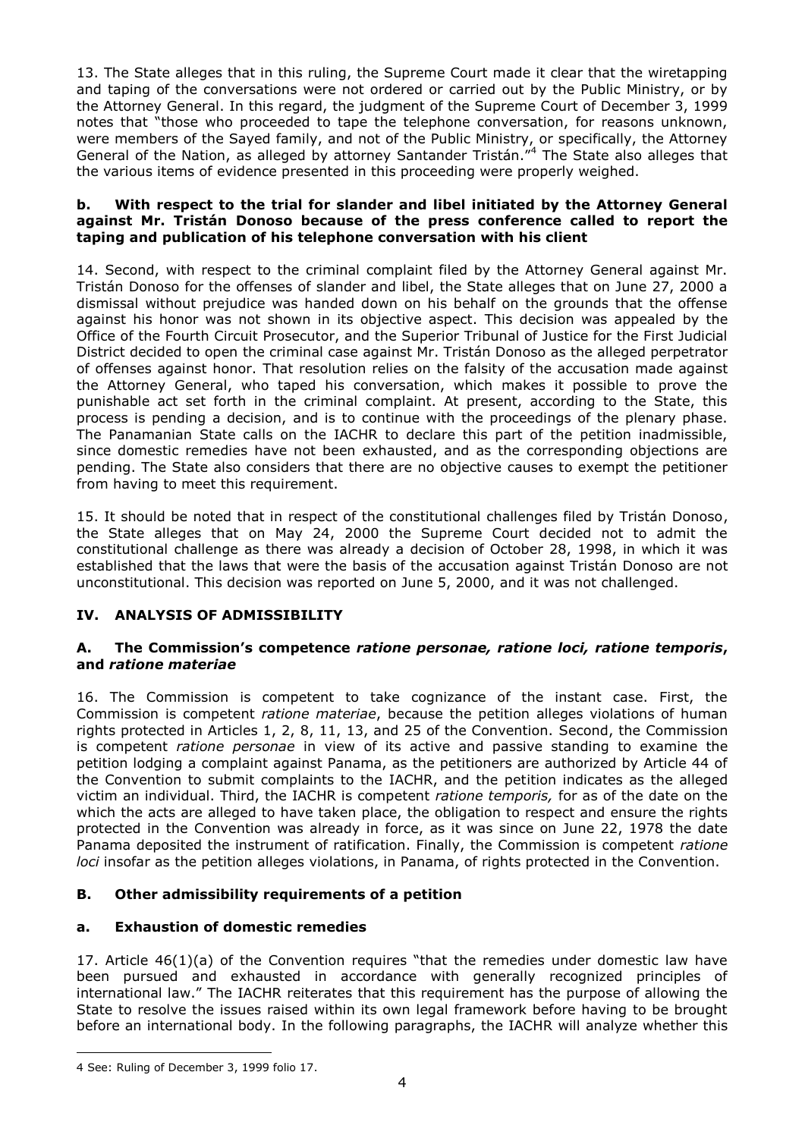13. The State alleges that in this ruling, the Supreme Court made it clear that the wiretapping and taping of the conversations were not ordered or carried out by the Public Ministry, or by the Attorney General. In this regard, the judgment of the Supreme Court of December 3, 1999 notes that "those who proceeded to tape the telephone conversation, for reasons unknown, were members of the Sayed family, and not of the Public Ministry, or specifically, the Attorney General of the Nation, as alleged by attorney Santander Tristán."<sup>4</sup> The State also alleges that the various items of evidence presented in this proceeding were properly weighed.

### **b. With respect to the trial for slander and libel initiated by the Attorney General against Mr. Tristán Donoso because of the press conference called to report the taping and publication of his telephone conversation with his client**

14. Second, with respect to the criminal complaint filed by the Attorney General against Mr. Tristán Donoso for the offenses of slander and libel, the State alleges that on June 27, 2000 a dismissal without prejudice was handed down on his behalf on the grounds that the offense against his honor was not shown in its objective aspect. This decision was appealed by the Office of the Fourth Circuit Prosecutor, and the Superior Tribunal of Justice for the First Judicial District decided to open the criminal case against Mr. Tristán Donoso as the alleged perpetrator of offenses against honor. That resolution relies on the falsity of the accusation made against the Attorney General, who taped his conversation, which makes it possible to prove the punishable act set forth in the criminal complaint. At present, according to the State, this process is pending a decision, and is to continue with the proceedings of the plenary phase. The Panamanian State calls on the IACHR to declare this part of the petition inadmissible, since domestic remedies have not been exhausted, and as the corresponding objections are pending. The State also considers that there are no objective causes to exempt the petitioner from having to meet this requirement.

15. It should be noted that in respect of the constitutional challenges filed by Tristán Donoso, the State alleges that on May 24, 2000 the Supreme Court decided not to admit the constitutional challenge as there was already a decision of October 28, 1998, in which it was established that the laws that were the basis of the accusation against Tristán Donoso are not unconstitutional. This decision was reported on June 5, 2000, and it was not challenged.

# **IV. ANALYSIS OF ADMISSIBILITY**

### **A. The Commission's competence** *ratione personae, ratione loci, ratione temporis***, and** *ratione materiae*

16. The Commission is competent to take cognizance of the instant case. First, the Commission is competent *ratione materiae*, because the petition alleges violations of human rights protected in Articles 1, 2, 8, 11, 13, and 25 of the Convention. Second, the Commission is competent *ratione personae* in view of its active and passive standing to examine the petition lodging a complaint against Panama, as the petitioners are authorized by Article 44 of the Convention to submit complaints to the IACHR, and the petition indicates as the alleged victim an individual. Third, the IACHR is competent *ratione temporis,* for as of the date on the which the acts are alleged to have taken place, the obligation to respect and ensure the rights protected in the Convention was already in force, as it was since on June 22, 1978 the date Panama deposited the instrument of ratification. Finally, the Commission is competent *ratione loci* insofar as the petition alleges violations, in Panama, of rights protected in the Convention.

## **B. Other admissibility requirements of a petition**

## **a. Exhaustion of domestic remedies**

17. Article 46(1)(a) of the Convention requires "that the remedies under domestic law have been pursued and exhausted in accordance with generally recognized principles of international law." The IACHR reiterates that this requirement has the purpose of allowing the State to resolve the issues raised within its own legal framework before having to be brought before an international body. In the following paragraphs, the IACHR will analyze whether this

1

<sup>4</sup> See: Ruling of December 3, 1999 folio 17.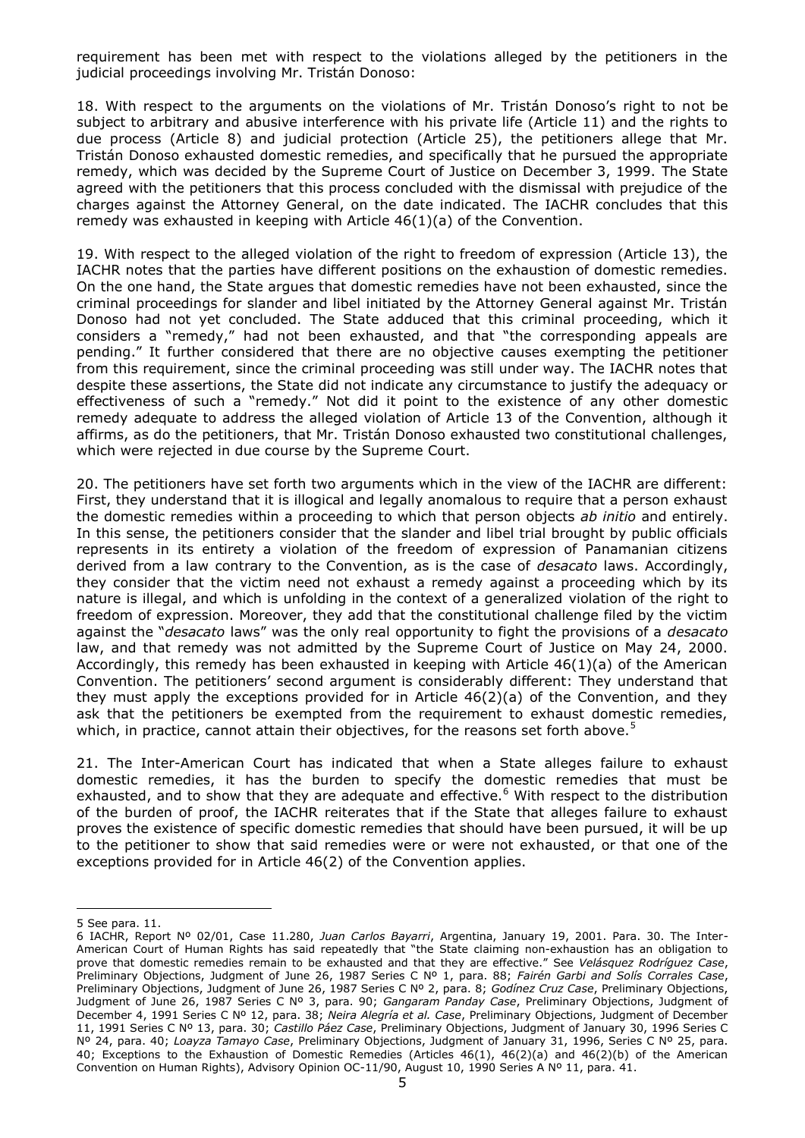requirement has been met with respect to the violations alleged by the petitioners in the judicial proceedings involving Mr. Tristán Donoso:

18. With respect to the arguments on the violations of Mr. Tristán Donoso's right to not be subject to arbitrary and abusive interference with his private life (Article 11) and the rights to due process (Article 8) and judicial protection (Article 25), the petitioners allege that Mr. Tristán Donoso exhausted domestic remedies, and specifically that he pursued the appropriate remedy, which was decided by the Supreme Court of Justice on December 3, 1999. The State agreed with the petitioners that this process concluded with the dismissal with prejudice of the charges against the Attorney General, on the date indicated. The IACHR concludes that this remedy was exhausted in keeping with Article  $46(1)(a)$  of the Convention.

19. With respect to the alleged violation of the right to freedom of expression (Article 13), the IACHR notes that the parties have different positions on the exhaustion of domestic remedies. On the one hand, the State argues that domestic remedies have not been exhausted, since the criminal proceedings for slander and libel initiated by the Attorney General against Mr. Tristán Donoso had not yet concluded. The State adduced that this criminal proceeding, which it considers a "remedy," had not been exhausted, and that "the corresponding appeals are pending." It further considered that there are no objective causes exempting the petitioner from this requirement, since the criminal proceeding was still under way. The IACHR notes that despite these assertions, the State did not indicate any circumstance to justify the adequacy or effectiveness of such a "remedy." Not did it point to the existence of any other domestic remedy adequate to address the alleged violation of Article 13 of the Convention, although it affirms, as do the petitioners, that Mr. Tristán Donoso exhausted two constitutional challenges, which were rejected in due course by the Supreme Court.

20. The petitioners have set forth two arguments which in the view of the IACHR are different: First, they understand that it is illogical and legally anomalous to require that a person exhaust the domestic remedies within a proceeding to which that person objects *ab initio* and entirely. In this sense, the petitioners consider that the slander and libel trial brought by public officials represents in its entirety a violation of the freedom of expression of Panamanian citizens derived from a law contrary to the Convention, as is the case of *desacato* laws. Accordingly, they consider that the victim need not exhaust a remedy against a proceeding which by its nature is illegal, and which is unfolding in the context of a generalized violation of the right to freedom of expression. Moreover, they add that the constitutional challenge filed by the victim against the "*desacato* laws" was the only real opportunity to fight the provisions of a *desacato* law, and that remedy was not admitted by the Supreme Court of Justice on May 24, 2000. Accordingly, this remedy has been exhausted in keeping with Article  $46(1)(a)$  of the American Convention. The petitioners' second argument is considerably different: They understand that they must apply the exceptions provided for in Article 46(2)(a) of the Convention, and they ask that the petitioners be exempted from the requirement to exhaust domestic remedies, which, in practice, cannot attain their objectives, for the reasons set forth above.<sup>5</sup>

21. The Inter-American Court has indicated that when a State alleges failure to exhaust domestic remedies, it has the burden to specify the domestic remedies that must be exhausted, and to show that they are adequate and effective.<sup>6</sup> With respect to the distribution of the burden of proof, the IACHR reiterates that if the State that alleges failure to exhaust proves the existence of specific domestic remedies that should have been pursued, it will be up to the petitioner to show that said remedies were or were not exhausted, or that one of the exceptions provided for in Article 46(2) of the Convention applies.

<u>.</u>

<sup>5</sup> See para. 11.

<sup>6</sup> IACHR, Report Nº 02/01, Case 11.280, *Juan Carlos Bayarri*, Argentina, January 19, 2001. Para. 30. The Inter-American Court of Human Rights has said repeatedly that "the State claiming non-exhaustion has an obligation to prove that domestic remedies remain to be exhausted and that they are effective." See *Velásquez Rodríguez Case*, Preliminary Objections, Judgment of June 26, 1987 Series C Nº 1, para. 88; *Fairén Garbi and Solís Corrales Case*, Preliminary Objections, Judgment of June 26, 1987 Series C Nº 2, para. 8; *Godínez Cruz Case*, Preliminary Objections, Judgment of June 26, 1987 Series C Nº 3, para. 90; *Gangaram Panday Case*, Preliminary Objections, Judgment of December 4, 1991 Series C Nº 12, para. 38; *Neira Alegría et al. Case*, Preliminary Objections, Judgment of December 11, 1991 Series C Nº 13, para. 30; *Castillo Páez Case*, Preliminary Objections, Judgment of January 30, 1996 Series C Nº 24, para. 40; *Loayza Tamayo Case*, Preliminary Objections, Judgment of January 31, 1996, Series C Nº 25, para. 40; Exceptions to the Exhaustion of Domestic Remedies (Articles 46(1), 46(2)(a) and 46(2)(b) of the American Convention on Human Rights), Advisory Opinion OC-11/90, August 10, 1990 Series A Nº 11, para. 41.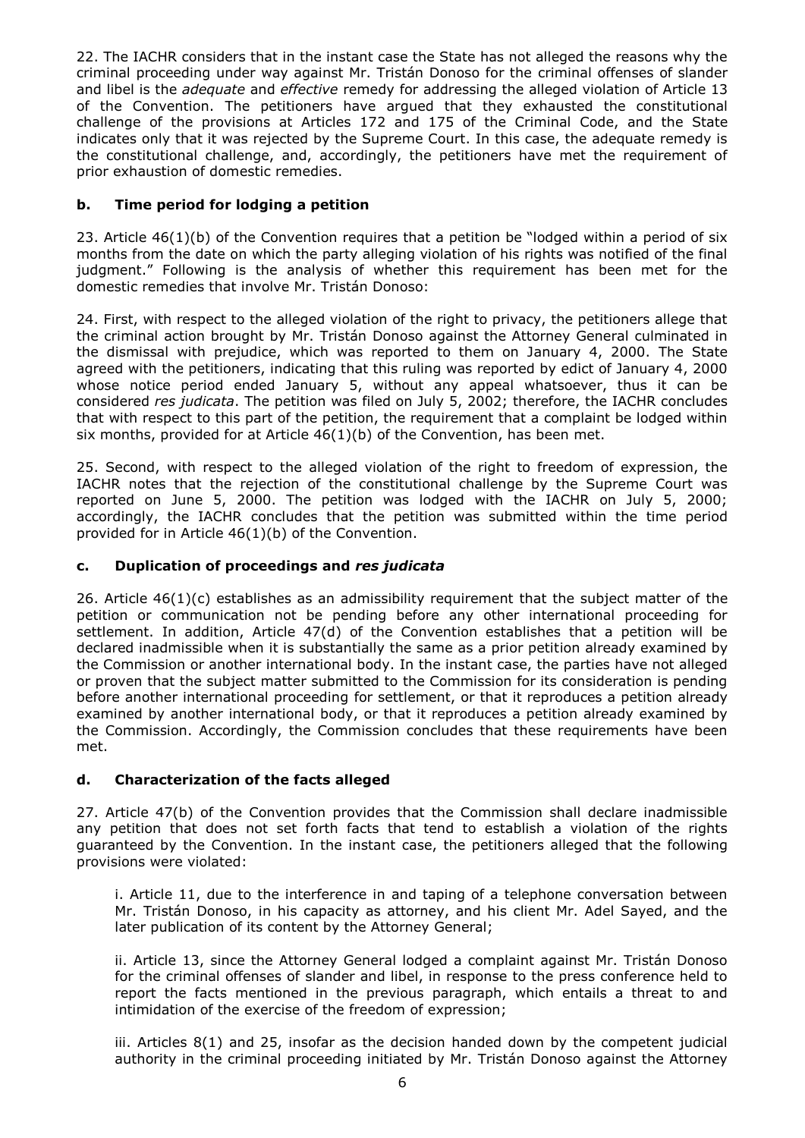22. The IACHR considers that in the instant case the State has not alleged the reasons why the criminal proceeding under way against Mr. Tristán Donoso for the criminal offenses of slander and libel is the *adequate* and *effective* remedy for addressing the alleged violation of Article 13 of the Convention. The petitioners have argued that they exhausted the constitutional challenge of the provisions at Articles 172 and 175 of the Criminal Code, and the State indicates only that it was rejected by the Supreme Court. In this case, the adequate remedy is the constitutional challenge, and, accordingly, the petitioners have met the requirement of prior exhaustion of domestic remedies.

# **b. Time period for lodging a petition**

23. Article 46(1)(b) of the Convention requires that a petition be "lodged within a period of six months from the date on which the party alleging violation of his rights was notified of the final judgment." Following is the analysis of whether this requirement has been met for the domestic remedies that involve Mr. Tristán Donoso:

24. First, with respect to the alleged violation of the right to privacy, the petitioners allege that the criminal action brought by Mr. Tristán Donoso against the Attorney General culminated in the dismissal with prejudice, which was reported to them on January 4, 2000. The State agreed with the petitioners, indicating that this ruling was reported by edict of January 4, 2000 whose notice period ended January 5, without any appeal whatsoever, thus it can be considered *res judicata*. The petition was filed on July 5, 2002; therefore, the IACHR concludes that with respect to this part of the petition, the requirement that a complaint be lodged within six months, provided for at Article 46(1)(b) of the Convention, has been met.

25. Second, with respect to the alleged violation of the right to freedom of expression, the IACHR notes that the rejection of the constitutional challenge by the Supreme Court was reported on June 5, 2000. The petition was lodged with the IACHR on July 5, 2000; accordingly, the IACHR concludes that the petition was submitted within the time period provided for in Article 46(1)(b) of the Convention.

## **c. Duplication of proceedings and** *res judicata*

26. Article 46(1)(c) establishes as an admissibility requirement that the subject matter of the petition or communication not be pending before any other international proceeding for settlement. In addition, Article 47(d) of the Convention establishes that a petition will be declared inadmissible when it is substantially the same as a prior petition already examined by the Commission or another international body. In the instant case, the parties have not alleged or proven that the subject matter submitted to the Commission for its consideration is pending before another international proceeding for settlement, or that it reproduces a petition already examined by another international body, or that it reproduces a petition already examined by the Commission. Accordingly, the Commission concludes that these requirements have been met.

## **d. Characterization of the facts alleged**

27. Article 47(b) of the Convention provides that the Commission shall declare inadmissible any petition that does not set forth facts that tend to establish a violation of the rights guaranteed by the Convention. In the instant case, the petitioners alleged that the following provisions were violated:

i. Article 11, due to the interference in and taping of a telephone conversation between Mr. Tristán Donoso, in his capacity as attorney, and his client Mr. Adel Sayed, and the later publication of its content by the Attorney General;

ii. Article 13, since the Attorney General lodged a complaint against Mr. Tristán Donoso for the criminal offenses of slander and libel, in response to the press conference held to report the facts mentioned in the previous paragraph, which entails a threat to and intimidation of the exercise of the freedom of expression;

iii. Articles 8(1) and 25, insofar as the decision handed down by the competent judicial authority in the criminal proceeding initiated by Mr. Tristán Donoso against the Attorney